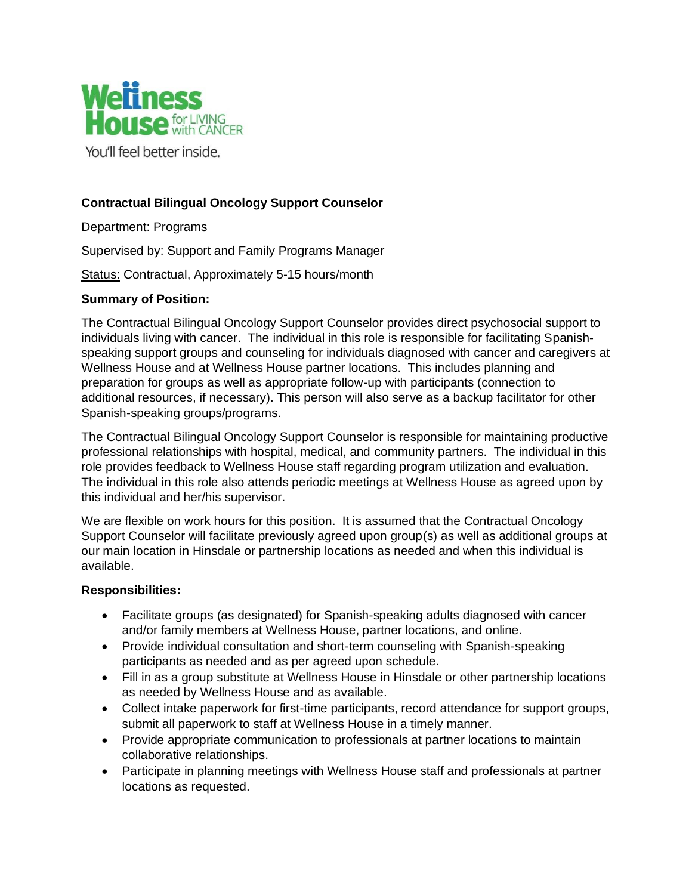

You'll feel better inside.

## **Contractual Bilingual Oncology Support Counselor**

Department: Programs

Supervised by: Support and Family Programs Manager

Status: Contractual, Approximately 5-15 hours/month

## **Summary of Position:**

The Contractual Bilingual Oncology Support Counselor provides direct psychosocial support to individuals living with cancer. The individual in this role is responsible for facilitating Spanishspeaking support groups and counseling for individuals diagnosed with cancer and caregivers at Wellness House and at Wellness House partner locations. This includes planning and preparation for groups as well as appropriate follow-up with participants (connection to additional resources, if necessary). This person will also serve as a backup facilitator for other Spanish-speaking groups/programs.

The Contractual Bilingual Oncology Support Counselor is responsible for maintaining productive professional relationships with hospital, medical, and community partners. The individual in this role provides feedback to Wellness House staff regarding program utilization and evaluation. The individual in this role also attends periodic meetings at Wellness House as agreed upon by this individual and her/his supervisor.

We are flexible on work hours for this position. It is assumed that the Contractual Oncology Support Counselor will facilitate previously agreed upon group(s) as well as additional groups at our main location in Hinsdale or partnership locations as needed and when this individual is available.

## **Responsibilities:**

- Facilitate groups (as designated) for Spanish-speaking adults diagnosed with cancer and/or family members at Wellness House, partner locations, and online.
- Provide individual consultation and short-term counseling with Spanish-speaking participants as needed and as per agreed upon schedule.
- Fill in as a group substitute at Wellness House in Hinsdale or other partnership locations as needed by Wellness House and as available.
- Collect intake paperwork for first-time participants, record attendance for support groups, submit all paperwork to staff at Wellness House in a timely manner.
- Provide appropriate communication to professionals at partner locations to maintain collaborative relationships.
- Participate in planning meetings with Wellness House staff and professionals at partner locations as requested.